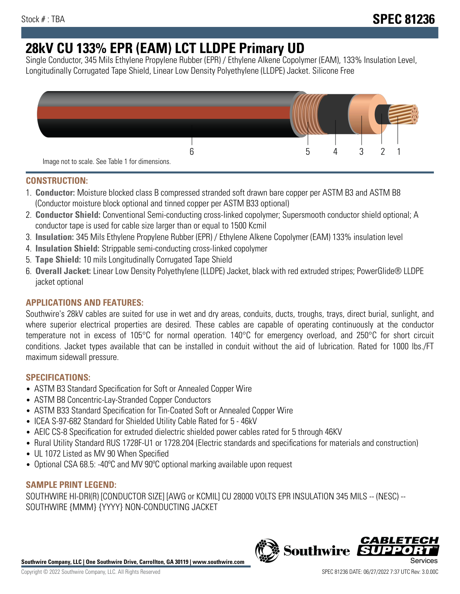# **28kV CU 133% EPR (EAM) LCT LLDPE Primary UD**

Single Conductor, 345 Mils Ethylene Propylene Rubber (EPR) / Ethylene Alkene Copolymer (EAM), 133% Insulation Level, Longitudinally Corrugated Tape Shield, Linear Low Density Polyethylene (LLDPE) Jacket. Silicone Free



# **CONSTRUCTION:**

- 1. **Conductor:** Moisture blocked class B compressed stranded soft drawn bare copper per ASTM B3 and ASTM B8 (Conductor moisture block optional and tinned copper per ASTM B33 optional)
- 2. **Conductor Shield:** Conventional Semi-conducting cross-linked copolymer; Supersmooth conductor shield optional; A conductor tape is used for cable size larger than or equal to 1500 Kcmil
- 3. **Insulation:** 345 Mils Ethylene Propylene Rubber (EPR) / Ethylene Alkene Copolymer (EAM) 133% insulation level
- 4. **Insulation Shield:** Strippable semi-conducting cross-linked copolymer
- 5. **Tape Shield:** 10 mils Longitudinally Corrugated Tape Shield
- 6. **Overall Jacket:** Linear Low Density Polyethylene (LLDPE) Jacket, black with red extruded stripes; PowerGlide® LLDPE jacket optional

# **APPLICATIONS AND FEATURES:**

Southwire's 28kV cables are suited for use in wet and dry areas, conduits, ducts, troughs, trays, direct burial, sunlight, and where superior electrical properties are desired. These cables are capable of operating continuously at the conductor temperature not in excess of 105°C for normal operation. 140°C for emergency overload, and 250°C for short circuit conditions. Jacket types available that can be installed in conduit without the aid of lubrication. Rated for 1000 lbs./FT maximum sidewall pressure.

# **SPECIFICATIONS:**

- ASTM B3 Standard Specification for Soft or Annealed Copper Wire
- ASTM B8 Concentric-Lay-Stranded Copper Conductors
- ASTM B33 Standard Specification for Tin-Coated Soft or Annealed Copper Wire
- ICEA S-97-682 Standard for Shielded Utility Cable Rated for 5 46kV
- AEIC CS-8 Specification for extruded dielectric shielded power cables rated for 5 through 46KV
- Rural Utility Standard RUS 1728F-U1 or 1728.204 (Electric standards and specifications for materials and construction)
- UL 1072 Listed as MV 90 When Specified
- Optional CSA 68.5: -40ºC and MV 90ºC optional marking available upon request

## **SAMPLE PRINT LEGEND:**

SOUTHWIRE HI-DRI(R) [CONDUCTOR SIZE] [AWG or KCMIL] CU 28000 VOLTS EPR INSULATION 345 MILS -- (NESC) -- SOUTHWIRE {MMM} {YYYY} NON-CONDUCTING JACKET

**Southwire Company, LLC | One Southwire Drive, Carrollton, GA 30119 | www.southwire.com**